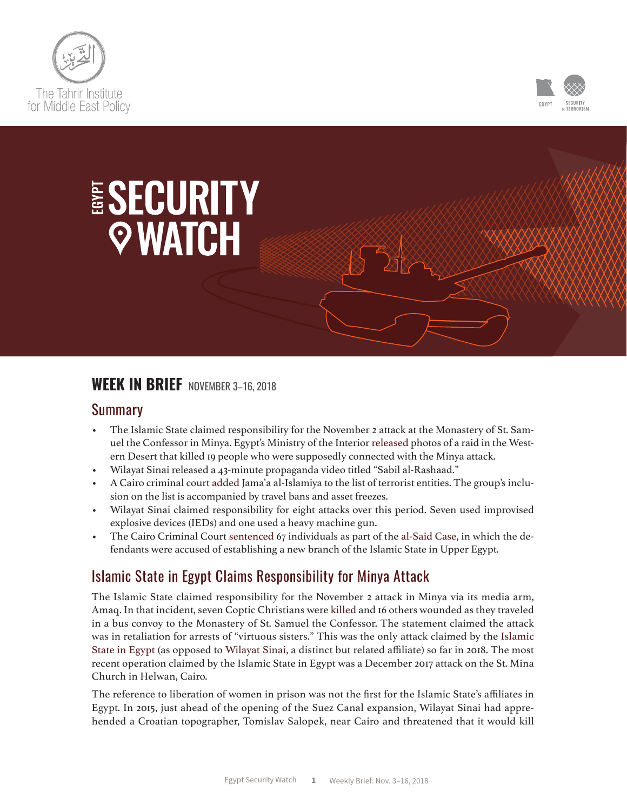



# ESECURITY *Q* **WATCH**

# **WEEK IN BRIEF** NOVEMBER 3–16, 2018

#### Summary

- The Islamic State claimed responsibility for the November 2 attack at the Monastery of St. Samuel the Confessor in Minya. Egypt's Ministry of the Interior [released](https://www.facebook.com/MoiEgy/posts/1993787987331521?__xts__%5b0%5d=68.ARAXMUpOorIZVytvGVAJVCw7f0jjZQcBjMsdQUc590KYdI7ReEhwPIOGsGmy1zONeM69O8tze_RMfIOvJc0Sy_mKrirWOVCR_Rh3FNB0urvMGltG9P5pWL-JaQ7YB5MmEF0eMA27c2K7-9QJyega6lOz6qepEjgpEXZobnD-0BnsD-63tse-Srb4QM5cD-_uF0lwdnyw7Bk&__tn__=-R) photos of a raid in the Western Desert that killed 19 people who were supposedly connected with the Minya attack.
- Wilayat Sinai released a 43-minute propaganda video titled "Sabil al-Rashaad."
- A Cairo criminal court [added](https://www.reuters.com/article/us-egypt-court/egyptian-court-adds-islamist-group-to-terrorism-list-idUSKCN1NG0RQ) Jama'a al-Islamiya to the list of terrorist entities. The group's inclusion on the list is accompanied by travel bans and asset freezes.
- Wilayat Sinai claimed responsibility for eight attacks over this period. Seven used improvised explosive devices (IEDs) and one used a heavy machine gun.
- The Cairo Criminal Court [sentenced](https://aawsat.com/english/home/article/1454691/egypt-convicts-65-militants-terrorism) 67 individuals as part of the [al-Said Case,](http://www.almanar.com.lb/4496571) in which the defendants were accused of establishing a new branch of the Islamic State in Upper Egypt.

# Islamic State in Egypt Claims Responsibility for Minya Attack

The Islamic State claimed responsibility for the November 2 attack in Minya via its media arm, Amaq. In that incident, seven Coptic Christians were [killed](https://www.nytimes.com/2018/11/02/world/middleeast/egypt-coptic-christians-ambush.html?module=inline) and 16 others wounded as they traveled in a bus convoy to the Monastery of St. Samuel the Confessor. The statement claimed the attack was in retaliation for arrests of "virtuous sisters." This was the only attack claimed by the [Islamic](https://timep.org/esw/non-state-actors/islamic-state-in-egypt/)  [State in Egypt \(](https://timep.org/esw/non-state-actors/islamic-state-in-egypt/)as opposed to [Wilayat Sinai](https://timep.org/esw/non-state-actors/wilayat-sinai/), a distinct but related affiliate) so far in 2018. The most recent operation claimed by the Islamic State in Egypt was a December 2017 attack on the St. Mina Church in Helwan, Cairo.

The reference to liberation of women in prison was not the first for the Islamic State's affiliates in Egypt. In 2015, just ahead of the opening of the Suez Canal expansion, Wilayat Sinai had apprehended a Croatian topographer, Tomislav Salopek, near Cairo and threatened that it would kill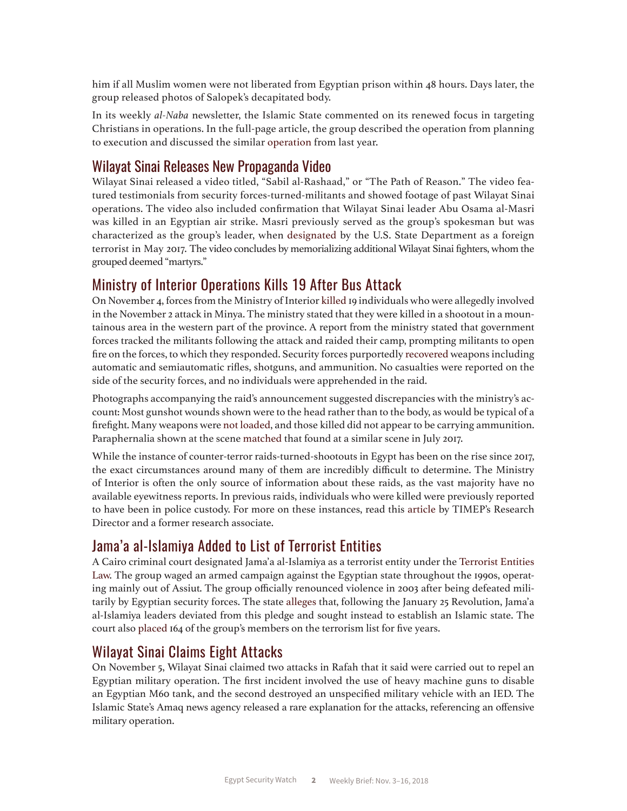him if all Muslim women were not liberated from Egyptian prison within 48 hours. Days later, the group released photos of Salopek's decapitated body.

In its weekly *al-Naba* newsletter, the Islamic State commented on its renewed focus in targeting Christians in operations. In the full-page article, the group described the operation from planning to execution and discussed the similar [operation](https://www.nytimes.com/2017/05/26/world/middleeast/egypt-coptic-christian-attack.html) from last year.

#### Wilayat Sinai Releases New Propaganda Video

Wilayat Sinai released a video titled, "Sabil al-Rashaad," or "The Path of Reason." The video featured testimonials from security forces-turned-militants and showed footage of past Wilayat Sinai operations. The video also included confirmation that Wilayat Sinai leader Abu Osama al-Masri was killed in an Egyptian air strike. Masri previously served as the group's spokesman but was characterized as the group's leader, when [designated](https://www.state.gov/r/pa/prs/ps/2017/05/270982.htm) by the U.S. State Department as a foreign terrorist in May 2017. The video concludes by memorializing additional Wilayat Sinai fighters, whom the grouped deemed "martyrs."

#### Ministry of Interior Operations Kills 19 After Bus Attack

On November 4, forces from the Ministry of Interior [killed](https://www.cnn.com/2018/11/04/world/coptic-christians-militants-killed/index.html) 19 individuals who were allegedly involved in the November 2 attack in Minya. The ministry stated that they were killed in a shootout in a mountainous area in the western part of the province. A report from the ministry stated that government forces tracked the militants following the attack and raided their camp, prompting militants to open fire on the forces, to which they responded. Security forces purportedly [recovered](https://uk.reuters.com/article/uk-egypt-security/egypt-says-19-militants-killed-in-security-operation-after-attack-on-christians-idUKKCN1N90AV) weapons including automatic and semiautomatic rifles, shotguns, and ammunition. No casualties were reported on the side of the security forces, and no individuals were apprehended in the raid.

Photographs accompanying the raid's announcement suggested discrepancies with the ministry's account: Most gunshot wounds shown were to the head rather than to the body, as would be typical of a firefight. Many weapons were [not loaded](https://twitter.com/EgyGreenfly/status/1059108043210874880), and those killed did not appear to be carrying ammunition. Paraphernalia shown at the scene [matched](https://www.lepoint.fr/monde/en-egypte-la-police-protege-t-elle-vraiment-les-coptes-07-11-2018-2269412_24.php) that found at a similar scene in July 2017.

While the instance of counter-terror raids-turned-shootouts in Egypt has been on the rise since 2017, the exact circumstances around many of them are incredibly difficult to determine. The Ministry of Interior is often the only source of information about these raids, as the vast majority have no available eyewitness reports. In previous raids, individuals who were killed were previously reported to have been in police custody. For more on these instances, read this [article](https://theintercept.com/2017/11/11/egypt-war-on-terror-extrajudicial-killings/) by TIMEP's Research Director and a former research associate.

#### Jama'a al-Islamiya Added to List of Terrorist Entities

A Cairo criminal court designated Jama'a al-Islamiya as a terrorist entity under the [Terrorist Entities](https://timep.org/commentary/analysis/terrorist-entities-law-egypts-latest/) [Law](https://timep.org/commentary/analysis/terrorist-entities-law-egypts-latest/). The group waged an armed campaign against the Egyptian state throughout the 1990s, operating mainly out of Assiut. The group officially renounced violence in 2003 after being defeated militarily by Egyptian security forces. The state [alleges](https://aawsat.com/english/home/article/1459361/egypt-adds-%E2%80%98al-gamaa-al-islamiya%E2%80%99-%C2%A0terror-list) that, following the January 25 Revolution, Jama'a al-Islamiya leaders deviated from this pledge and sought instead to establish an Islamic state. The court also [placed](http://english.ahram.org.eg/NewsContent/1/64/316129/Egypt/Politics-/Egypt-state-gazette-publishes-names-of--AlGamaa-Al.aspx) 164 of the group's members on the terrorism list for five years.

#### Wilayat Sinai Claims Eight Attacks

On November 5, Wilayat Sinai claimed two attacks in Rafah that it said were carried out to repel an Egyptian military operation. The first incident involved the use of heavy machine guns to disable an Egyptian M60 tank, and the second destroyed an unspecified military vehicle with an IED. The Islamic State's Amaq news agency released a rare explanation for the attacks, referencing an offensive military operation.